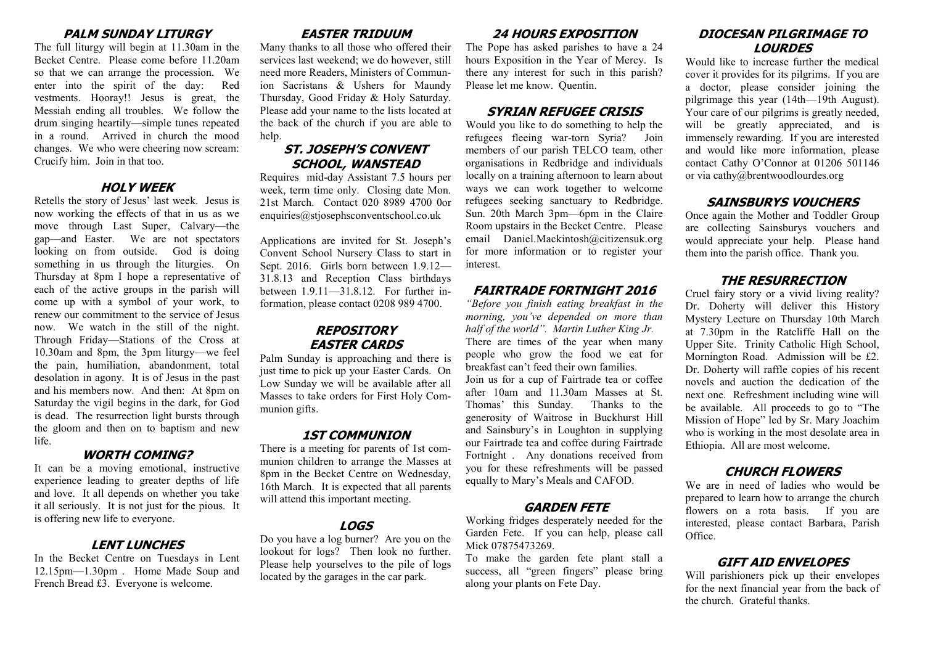#### **PALM SUNDAY LITURGY**

The full liturgy will begin at 11.30am in the Becket Centre. Please come before 11.20am so that we can arrange the procession. We enter into the spirit of the day: Red vestments. Hooray!! Jesus is great, the Messiah ending all troubles. We follow the drum singing heartily—simple tunes repeated in a round. Arrived in church the mood changes. We who were cheering now scream: Crucify him. Join in that too.

#### **HOLY WEEK**

Retells the story of Jesus' last week. Jesus is now working the effects of that in us as we move through Last Super, Calvary—the gap—and Easter. We are not spectators looking on from outside. God is doing something in us through the liturgies. On Thursday at 8pm I hope a representative of each of the active groups in the parish will come up with a symbol of your work, to renew our commitment to the service of Jesus now. We watch in the still of the night. Through Friday—Stations of the Cross at 10.30am and 8pm, the 3pm liturgy—we feel the pain, humiliation, abandonment, total desolation in agony. It is of Jesus in the past and his members now. And then: At 8pm on Saturday the vigil begins in the dark, for God is dead. The resurrection light bursts through the gloom and then on to baptism and new life.

#### **WORTH COMING?**

It can be a moving emotional, instructive experience leading to greater depths of life and love. It all depends on whether you take it all seriously. It is not just for the pious. It is offering new life to everyone.

## **LENT LUNCHES**

In the Becket Centre on Tuesdays in Lent 12.15pm—1.30pm . Home Made Soup and French Bread £3. Everyone is welcome.

# **EASTER TRIDUUM**

Many thanks to all those who offered their services last weekend; we do however, still need more Readers, Ministers of Communion Sacristans & Ushers for Maundy Thursday, Good Friday & Holy Saturday. Please add your name to the lists located at the back of the church if you are able to help.

#### **ST. JOSEPH'S CONVENT SCHOOL, WANSTEAD**

Requires mid-day Assistant 7.5 hours per week, term time only. Closing date Mon. 21st March. Contact 020 8989 4700 0or enquiries@stjosephsconventschool.co.uk

Applications are invited for St. Joseph's Convent School Nursery Class to start in Sept. 2016. Girls born between 1.9.12— 31.8.13 and Reception Class birthdays between 1.9.11—31.8.12. For further information, please contact 0208 989 4700.

#### **REPOSITORY EASTER CARDS**

Palm Sunday is approaching and there is just time to pick up your Easter Cards. On Low Sunday we will be available after all Masses to take orders for First Holy Communion gifts.

# **1ST COMMUNION**

There is a meeting for parents of 1st communion children to arrange the Masses at 8pm in the Becket Centre on Wednesday, 16th March. It is expected that all parents will attend this important meeting.

# **LOGS**

Do you have a log burner? Are you on the lookout for logs? Then look no further. Please help yourselves to the pile of logs located by the garages in the car park.

# **24 HOURS EXPOSITION**

The Pope has asked parishes to have a 24 hours Exposition in the Year of Mercy. Is there any interest for such in this parish? Please let me know. Quentin.

# **SYRIAN REFUGEE CRISIS**

Would you like to do something to help the refugees fleeing war-torn Syria? Join members of our parish TELCO team, other organisations in Redbridge and individuals locally on a training afternoon to learn about ways we can work together to welcome refugees seeking sanctuary to Redbridge. Sun. 20th March 3pm—6pm in the Claire Room upstairs in the Becket Centre. Please email Daniel.Mackintosh@citizensuk.org for more information or to register your interest.

# **FAIRTRADE FORTNIGHT 2016**

*"Before you finish eating breakfast in the morning, you've depended on more than half of the world". Martin Luther King Jr.* There are times of the year when many people who grow the food we eat for breakfast can't feed their own families. Join us for a cup of Fairtrade tea or coffee after 10am and 11.30am Masses at St. Thomas' this Sunday. Thanks to the generosity of Waitrose in Buckhurst Hill and Sainsbury's in Loughton in supplying our Fairtrade tea and coffee during Fairtrade Fortnight . Any donations received from you for these refreshments will be passed equally to Mary's Meals and CAFOD.

# **GARDEN FETE**

Working fridges desperately needed for the Garden Fete. If you can help, please call Mick 07875473269.

To make the garden fete plant stall a success, all "green fingers" please bring along your plants on Fete Day.

# **DIOCESAN PILGRIMAGE TO LOURDES**

Would like to increase further the medical cover it provides for its pilgrims. If you are a doctor, please consider joining the pilgrimage this year (14th—19th August). Your care of our pilgrims is greatly needed, will be greatly appreciated, and is immensely rewarding. If you are interested and would like more information, please contact Cathy O'Connor at 01206 501146 or via cathy@brentwoodlourdes.org

# **SAINSBURYS VOUCHERS**

Once again the Mother and Toddler Group are collecting Sainsburys vouchers and would appreciate your help. Please hand them into the parish office. Thank you.

## **THE RESURRECTION**

Cruel fairy story or a vivid living reality? Dr. Doherty will deliver this History Mystery Lecture on Thursday 10th March at 7.30pm in the Ratcliffe Hall on the Upper Site. Trinity Catholic High School, Mornington Road. Admission will be £2. Dr. Doherty will raffle copies of his recent novels and auction the dedication of the next one. Refreshment including wine will be available. All proceeds to go to "The Mission of Hope" led by Sr. Mary Joachim who is working in the most desolate area in Ethiopia. All are most welcome.

# **CHURCH FLOWERS**

We are in need of ladies who would be prepared to learn how to arrange the church flowers on a rota basis. If you are interested, please contact Barbara, Parish Office.

# **GIFT AID ENVELOPES**

Will parishioners pick up their envelopes for the next financial year from the back of the church. Grateful thanks.